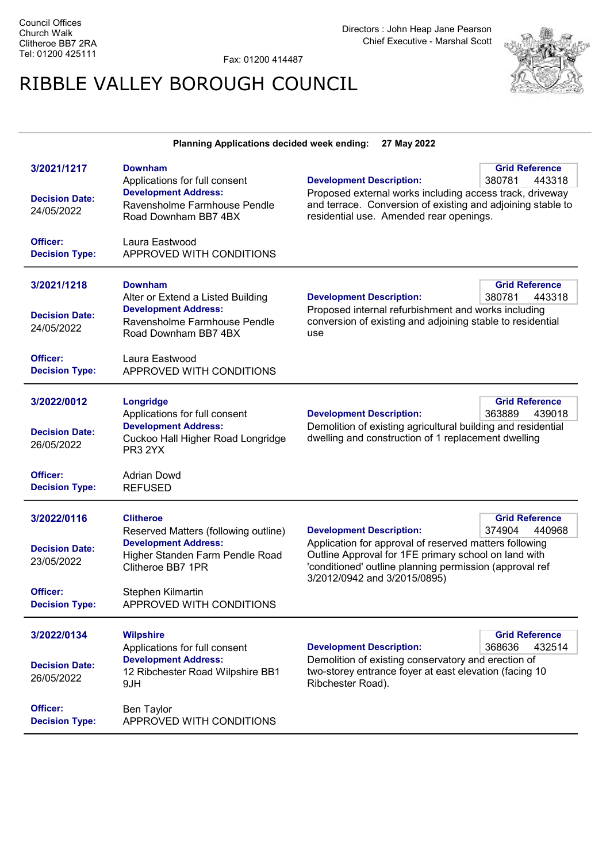Fax: 01200 414487

## RIBBLE VALLEY BOROUGH COUNCIL



## Planning Applications decided week ending: 27 May 2022

| 3/2021/1217<br><b>Decision Date:</b><br>24/05/2022<br>Officer:<br><b>Decision Type:</b> | <b>Downham</b><br>Applications for full consent<br><b>Development Address:</b><br>Ravensholme Farmhouse Pendle<br>Road Downham BB7 4BX<br>Laura Eastwood<br>APPROVED WITH CONDITIONS             | <b>Development Description:</b><br>Proposed external works including access track, driveway<br>and terrace. Conversion of existing and adjoining stable to<br>residential use. Amended rear openings.                                        | <b>Grid Reference</b><br>380781<br>443318 |
|-----------------------------------------------------------------------------------------|--------------------------------------------------------------------------------------------------------------------------------------------------------------------------------------------------|----------------------------------------------------------------------------------------------------------------------------------------------------------------------------------------------------------------------------------------------|-------------------------------------------|
| 3/2021/1218<br><b>Decision Date:</b><br>24/05/2022<br>Officer:<br><b>Decision Type:</b> | <b>Downham</b><br>Alter or Extend a Listed Building<br><b>Development Address:</b><br>Ravensholme Farmhouse Pendle<br>Road Downham BB7 4BX<br>Laura Eastwood<br>APPROVED WITH CONDITIONS         | <b>Development Description:</b><br>Proposed internal refurbishment and works including<br>conversion of existing and adjoining stable to residential<br>use                                                                                  | <b>Grid Reference</b><br>443318<br>380781 |
| 3/2022/0012<br><b>Decision Date:</b><br>26/05/2022<br>Officer:<br><b>Decision Type:</b> | Longridge<br>Applications for full consent<br><b>Development Address:</b><br>Cuckoo Hall Higher Road Longridge<br>PR3 2YX<br><b>Adrian Dowd</b><br><b>REFUSED</b>                                | <b>Development Description:</b><br>Demolition of existing agricultural building and residential<br>dwelling and construction of 1 replacement dwelling                                                                                       | <b>Grid Reference</b><br>363889<br>439018 |
| 3/2022/0116<br><b>Decision Date:</b><br>23/05/2022<br>Officer:<br><b>Decision Type:</b> | <b>Clitheroe</b><br>Reserved Matters (following outline)<br><b>Development Address:</b><br>Higher Standen Farm Pendle Road<br>Clitheroe BB7 1PR<br>Stephen Kilmartin<br>APPROVED WITH CONDITIONS | <b>Development Description:</b><br>Application for approval of reserved matters following<br>Outline Approval for 1FE primary school on land with<br>'conditioned' outline planning permission (approval ref<br>3/2012/0942 and 3/2015/0895) | <b>Grid Reference</b><br>440968<br>374904 |
| 3/2022/0134<br><b>Decision Date:</b><br>26/05/2022<br>Officer:<br><b>Decision Type:</b> | <b>Wilpshire</b><br>Applications for full consent<br><b>Development Address:</b><br>12 Ribchester Road Wilpshire BB1<br>9JH<br>Ben Taylor<br>APPROVED WITH CONDITIONS                            | <b>Development Description:</b><br>Demolition of existing conservatory and erection of<br>two-storey entrance foyer at east elevation (facing 10<br>Ribchester Road).                                                                        | <b>Grid Reference</b><br>432514<br>368636 |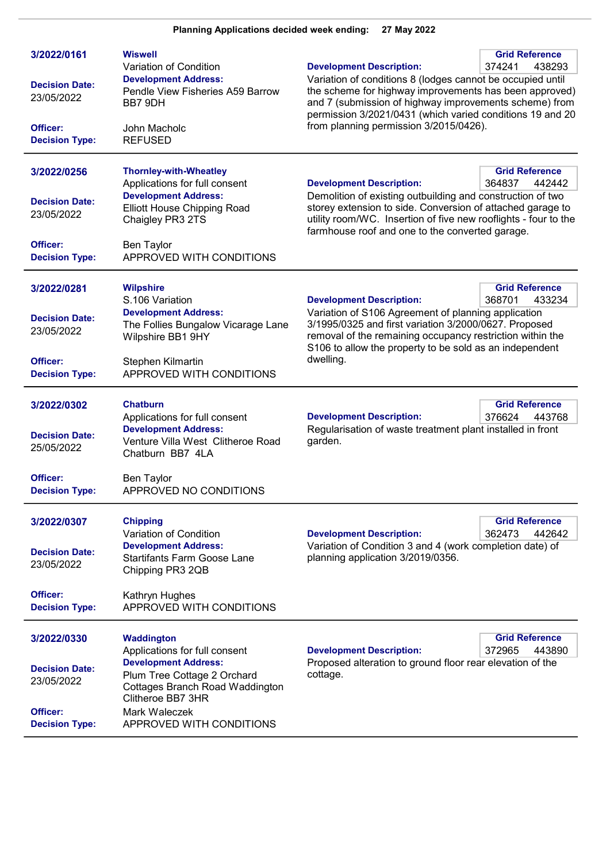| 3/2022/0161<br><b>Decision Date:</b><br>23/05/2022<br>Officer:<br><b>Decision Type:</b>        | <b>Wiswell</b><br>Variation of Condition<br><b>Development Address:</b><br>Pendle View Fisheries A59 Barrow<br>BB7 9DH<br>John Macholc<br><b>REFUSED</b>                                                       | <b>Development Description:</b><br>Variation of conditions 8 (lodges cannot be occupied until<br>the scheme for highway improvements has been approved)<br>and 7 (submission of highway improvements scheme) from<br>permission 3/2021/0431 (which varied conditions 19 and 20<br>from planning permission 3/2015/0426).          | <b>Grid Reference</b><br>374241<br>438293 |
|------------------------------------------------------------------------------------------------|----------------------------------------------------------------------------------------------------------------------------------------------------------------------------------------------------------------|-----------------------------------------------------------------------------------------------------------------------------------------------------------------------------------------------------------------------------------------------------------------------------------------------------------------------------------|-------------------------------------------|
| 3/2022/0256<br><b>Decision Date:</b><br>23/05/2022<br>Officer:<br><b>Decision Type:</b>        | <b>Thornley-with-Wheatley</b><br>Applications for full consent<br><b>Development Address:</b><br><b>Elliott House Chipping Road</b><br>Chaigley PR3 2TS<br>Ben Taylor<br>APPROVED WITH CONDITIONS              | <b>Development Description:</b><br>Demolition of existing outbuilding and construction of two<br>storey extension to side. Conversion of attached garage to<br>utility room/WC. Insertion of five new rooflights - four to the<br>farmhouse roof and one to the converted garage.                                                 | <b>Grid Reference</b><br>364837<br>442442 |
| 3/2022/0281<br><b>Decision Date:</b><br>23/05/2022<br><b>Officer:</b><br><b>Decision Type:</b> | <b>Wilpshire</b><br>S.106 Variation<br><b>Development Address:</b><br>The Follies Bungalow Vicarage Lane<br>Wilpshire BB1 9HY<br>Stephen Kilmartin<br>APPROVED WITH CONDITIONS                                 | <b>Grid Reference</b><br><b>Development Description:</b><br>368701<br>433234<br>Variation of S106 Agreement of planning application<br>3/1995/0325 and first variation 3/2000/0627. Proposed<br>removal of the remaining occupancy restriction within the<br>S106 to allow the property to be sold as an independent<br>dwelling. |                                           |
| 3/2022/0302<br><b>Decision Date:</b><br>25/05/2022<br>Officer:<br><b>Decision Type:</b>        | <b>Chatburn</b><br>Applications for full consent<br><b>Development Address:</b><br>Venture Villa West Clitheroe Road<br>Chatburn BB7 4LA<br><b>Ben Taylor</b><br>APPROVED NO CONDITIONS                        | <b>Development Description:</b><br>Regularisation of waste treatment plant installed in front<br>garden.                                                                                                                                                                                                                          | <b>Grid Reference</b><br>376624<br>443768 |
| 3/2022/0307<br><b>Decision Date:</b><br>23/05/2022<br>Officer:<br><b>Decision Type:</b>        | <b>Chipping</b><br>Variation of Condition<br><b>Development Address:</b><br><b>Startifants Farm Goose Lane</b><br>Chipping PR3 2QB<br>Kathryn Hughes<br>APPROVED WITH CONDITIONS                               | <b>Development Description:</b><br>Variation of Condition 3 and 4 (work completion date) of<br>planning application 3/2019/0356.                                                                                                                                                                                                  | <b>Grid Reference</b><br>362473<br>442642 |
| 3/2022/0330<br><b>Decision Date:</b><br>23/05/2022<br>Officer:<br><b>Decision Type:</b>        | Waddington<br>Applications for full consent<br><b>Development Address:</b><br>Plum Tree Cottage 2 Orchard<br>Cottages Branch Road Waddington<br>Clitheroe BB7 3HR<br>Mark Waleczek<br>APPROVED WITH CONDITIONS | <b>Development Description:</b><br>Proposed alteration to ground floor rear elevation of the<br>cottage.                                                                                                                                                                                                                          | <b>Grid Reference</b><br>372965<br>443890 |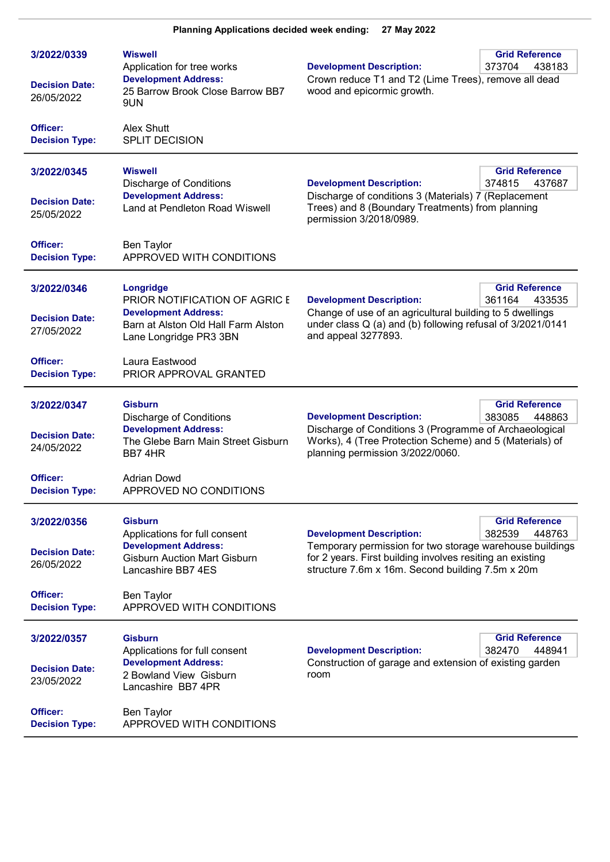| 3/2022/0339<br><b>Decision Date:</b><br>26/05/2022             | Wiswell<br>Application for tree works<br><b>Development Address:</b><br>25 Barrow Brook Close Barrow BB7<br>9UN                                       | <b>Development Description:</b><br>Crown reduce T1 and T2 (Lime Trees), remove all dead<br>wood and epicormic growth.                                                                                        | <b>Grid Reference</b><br>373704<br>438183 |
|----------------------------------------------------------------|-------------------------------------------------------------------------------------------------------------------------------------------------------|--------------------------------------------------------------------------------------------------------------------------------------------------------------------------------------------------------------|-------------------------------------------|
| Officer:<br><b>Decision Type:</b>                              | Alex Shutt<br>SPLIT DECISION                                                                                                                          |                                                                                                                                                                                                              |                                           |
| 3/2022/0345<br><b>Decision Date:</b><br>25/05/2022             | <b>Wiswell</b><br><b>Discharge of Conditions</b><br><b>Development Address:</b><br>Land at Pendleton Road Wiswell                                     | <b>Development Description:</b><br>Discharge of conditions 3 (Materials) 7 (Replacement<br>Trees) and 8 (Boundary Treatments) from planning<br>permission 3/2018/0989.                                       | <b>Grid Reference</b><br>374815<br>437687 |
| Officer:<br><b>Decision Type:</b>                              | <b>Ben Taylor</b><br>APPROVED WITH CONDITIONS                                                                                                         |                                                                                                                                                                                                              |                                           |
| 3/2022/0346<br><b>Decision Date:</b><br>27/05/2022             | Longridge<br>PRIOR NOTIFICATION OF AGRIC E<br><b>Development Address:</b><br>Barn at Alston Old Hall Farm Alston<br>Lane Longridge PR3 3BN            | <b>Development Description:</b><br>Change of use of an agricultural building to 5 dwellings<br>under class Q (a) and (b) following refusal of 3/2021/0141<br>and appeal 3277893.                             | <b>Grid Reference</b><br>361164<br>433535 |
| Officer:<br><b>Decision Type:</b>                              | Laura Eastwood<br>PRIOR APPROVAL GRANTED                                                                                                              |                                                                                                                                                                                                              |                                           |
| 3/2022/0347<br><b>Decision Date:</b><br>24/05/2022<br>Officer: | <b>Gisburn</b><br><b>Discharge of Conditions</b><br><b>Development Address:</b><br>The Glebe Barn Main Street Gisburn<br>BB74HR<br><b>Adrian Dowd</b> | <b>Development Description:</b><br>Discharge of Conditions 3 (Programme of Archaeological<br>Works), 4 (Tree Protection Scheme) and 5 (Materials) of<br>planning permission 3/2022/0060.                     | <b>Grid Reference</b><br>383085<br>448863 |
| <b>Decision Type:</b>                                          | APPROVED NO CONDITIONS                                                                                                                                |                                                                                                                                                                                                              |                                           |
| 3/2022/0356<br><b>Decision Date:</b><br>26/05/2022             | <b>Gisburn</b><br>Applications for full consent<br><b>Development Address:</b><br><b>Gisburn Auction Mart Gisburn</b><br>Lancashire BB7 4ES           | <b>Development Description:</b><br>Temporary permission for two storage warehouse buildings<br>for 2 years. First building involves resiting an existing<br>structure 7.6m x 16m. Second building 7.5m x 20m | <b>Grid Reference</b><br>382539<br>448763 |
| Officer:<br><b>Decision Type:</b>                              | Ben Taylor<br>APPROVED WITH CONDITIONS                                                                                                                |                                                                                                                                                                                                              |                                           |
| 3/2022/0357<br><b>Decision Date:</b><br>23/05/2022             | <b>Gisburn</b><br>Applications for full consent<br><b>Development Address:</b><br>2 Bowland View Gisburn<br>Lancashire BB7 4PR                        | <b>Development Description:</b><br>Construction of garage and extension of existing garden<br>room                                                                                                           | <b>Grid Reference</b><br>382470<br>448941 |
| Officer:<br><b>Decision Type:</b>                              | Ben Taylor<br>APPROVED WITH CONDITIONS                                                                                                                |                                                                                                                                                                                                              |                                           |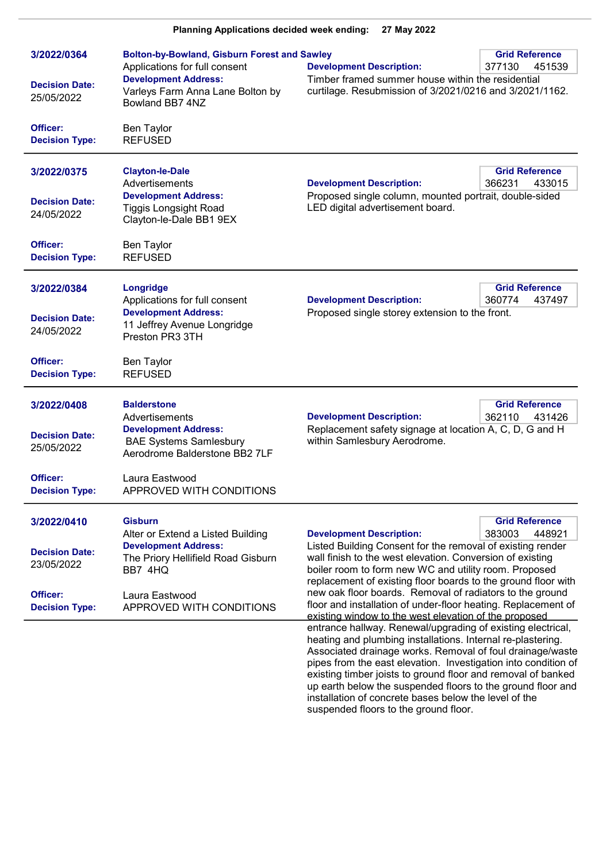| Planning Applications decided week ending:<br>27 May 2022                                                        |                                                                                                                                                                                                 |                                                                                                                                                                                                                                                                                                                                                                                                                                                                                                                                                                                                                                                                                                                                         |                                           |
|------------------------------------------------------------------------------------------------------------------|-------------------------------------------------------------------------------------------------------------------------------------------------------------------------------------------------|-----------------------------------------------------------------------------------------------------------------------------------------------------------------------------------------------------------------------------------------------------------------------------------------------------------------------------------------------------------------------------------------------------------------------------------------------------------------------------------------------------------------------------------------------------------------------------------------------------------------------------------------------------------------------------------------------------------------------------------------|-------------------------------------------|
| 3/2022/0364<br><b>Decision Date:</b><br>25/05/2022<br>Officer:                                                   | <b>Bolton-by-Bowland, Gisburn Forest and Sawley</b><br>Applications for full consent<br><b>Development Address:</b><br>Varleys Farm Anna Lane Bolton by<br>Bowland BB7 4NZ<br><b>Ben Taylor</b> | <b>Development Description:</b><br>Timber framed summer house within the residential<br>curtilage. Resubmission of 3/2021/0216 and 3/2021/1162.                                                                                                                                                                                                                                                                                                                                                                                                                                                                                                                                                                                         | <b>Grid Reference</b><br>377130<br>451539 |
| <b>Decision Type:</b><br>3/2022/0375<br><b>Decision Date:</b><br>24/05/2022<br>Officer:<br><b>Decision Type:</b> | <b>REFUSED</b><br><b>Clayton-le-Dale</b><br>Advertisements<br><b>Development Address:</b><br><b>Tiggis Longsight Road</b><br>Clayton-le-Dale BB1 9EX<br><b>Ben Taylor</b><br><b>REFUSED</b>     | <b>Development Description:</b><br>Proposed single column, mounted portrait, double-sided<br>LED digital advertisement board.                                                                                                                                                                                                                                                                                                                                                                                                                                                                                                                                                                                                           | <b>Grid Reference</b><br>366231<br>433015 |
| 3/2022/0384<br><b>Decision Date:</b><br>24/05/2022<br>Officer:<br><b>Decision Type:</b>                          | Longridge<br>Applications for full consent<br><b>Development Address:</b><br>11 Jeffrey Avenue Longridge<br>Preston PR3 3TH<br><b>Ben Taylor</b><br><b>REFUSED</b>                              | <b>Development Description:</b><br>Proposed single storey extension to the front.                                                                                                                                                                                                                                                                                                                                                                                                                                                                                                                                                                                                                                                       | <b>Grid Reference</b><br>360774<br>437497 |
| 3/2022/0408<br><b>Decision Date:</b><br>25/05/2022<br>Officer:<br><b>Decision Type:</b>                          | <b>Balderstone</b><br>Advertisements<br><b>Development Address:</b><br><b>BAE Systems Samlesbury</b><br>Aerodrome Balderstone BB2 7LF<br>Laura Eastwood<br>APPROVED WITH CONDITIONS             | <b>Development Description:</b><br>Replacement safety signage at location A, C, D, G and H<br>within Samlesbury Aerodrome.                                                                                                                                                                                                                                                                                                                                                                                                                                                                                                                                                                                                              | <b>Grid Reference</b><br>362110<br>431426 |
| 3/2022/0410<br><b>Decision Date:</b><br>23/05/2022<br>Officer:<br><b>Decision Type:</b>                          | <b>Gisburn</b><br>Alter or Extend a Listed Building<br><b>Development Address:</b><br>The Priory Hellifield Road Gisburn<br>BB7 4HQ<br>Laura Eastwood<br>APPROVED WITH CONDITIONS               | <b>Development Description:</b><br>Listed Building Consent for the removal of existing render<br>wall finish to the west elevation. Conversion of existing<br>boiler room to form new WC and utility room. Proposed<br>replacement of existing floor boards to the ground floor with<br>new oak floor boards. Removal of radiators to the ground<br>floor and installation of under-floor heating. Replacement of<br>existing window to the west elevation of the proposed<br>entrance hallway. Renewal/upgrading of existing electrical,<br>heating and plumbing installations. Internal re-plastering.<br>Associated drainage works. Removal of foul drainage/waste<br>pipes from the east elevation. Investigation into condition of | <b>Grid Reference</b><br>383003<br>448921 |

 $\overline{a}$ 

existing timber joists to ground floor and removal of banked up earth below the suspended floors to the ground floor and

installation of concrete bases below the level of the

suspended floors to the ground floor.